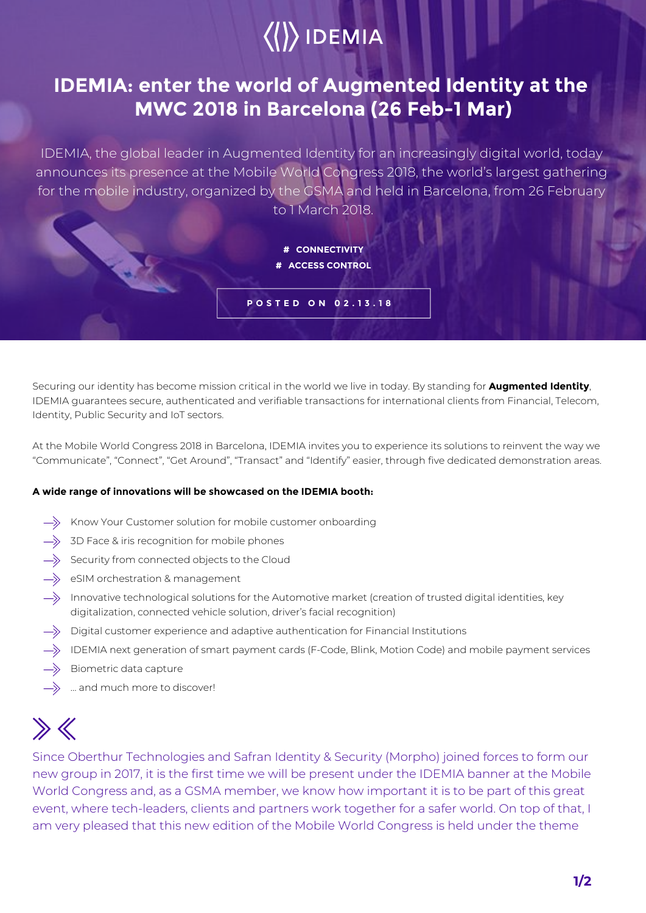# $\langle\langle\rangle\rangle$  IDEMIA

### **IDEMIA: enter the world of Augmented Identity at the MWC 2018 in Barcelona (26 Feb-1 Mar)**

IDEMIA, the global leader in Augmented Identity for an increasingly digital world, today announces its presence at the Mobile World Congress 2018, the world's largest gathering for the mobile industry, organized by the GSMA and held in Barcelona, from 26 February to 1 March 2018.

> **# CONNECTIVITY # ACCESS CONTROL**

**POSTED ON 02.13.18**

Securing our identity has become mission critical in the world we live in today. By standing for **Augmented Identity**, IDEMIA guarantees secure, authenticated and verifiable transactions for international clients from Financial, Telecom, Identity, Public Security and IoT sectors.

At the Mobile World Congress 2018 in Barcelona, IDEMIA invites you to experience its solutions to reinvent the way we "Communicate", "Connect", "Get Around", "Transact" and "Identify" easier, through five dedicated demonstration areas.

### **A wide range of innovations will be showcased on the IDEMIA booth:**

- $\Rightarrow$  Know Your Customer solution for mobile customer onboarding
- $\Rightarrow$  3D Face & iris recognition for mobile phones
- $\Longrightarrow$  Security from connected objects to the Cloud
- $\Rightarrow$  eSIM orchestration & management
- $\rightarrow$  Innovative technological solutions for the Automotive market (creation of trusted digital identities, key digitalization, connected vehicle solution, driver's facial recognition)
- $\Rightarrow$  Digital customer experience and adaptive authentication for Financial Institutions
- $\rightarrow$  IDEMIA next generation of smart payment cards (F-Code, Blink, Motion Code) and mobile payment services
- $\Rightarrow$  Biometric data capture
- $\Rightarrow$  ... and much more to discover!

## $\gg K$

Since Oberthur Technologies and Safran Identity & Security (Morpho) joined forces to form our new group in 2017, it is the first time we will be present under the IDEMIA banner at the Mobile World Congress and, as a GSMA member, we know how important it is to be part of this great event, where tech-leaders, clients and partners work together for a safer world. On top of that, I am very pleased that this new edition of the Mobile World Congress is held under the theme